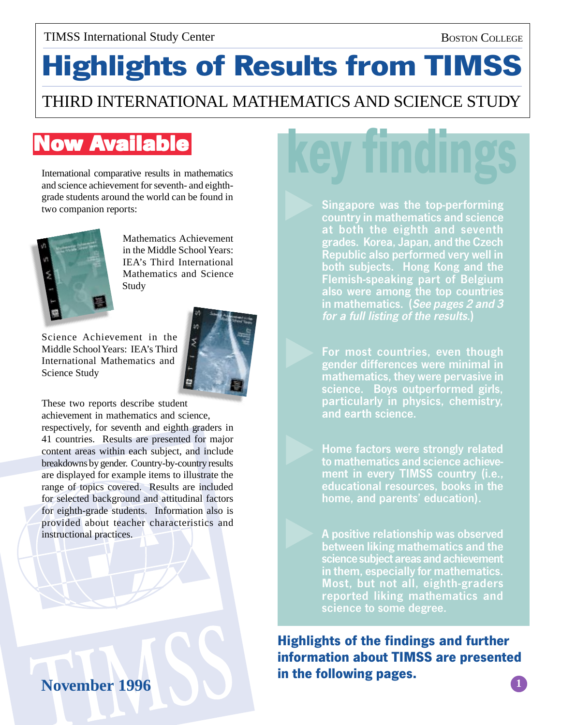#### BOSTON COLLEGE

# **Highlights of Results from TIMSS**

### THIRD INTERNATIONAL MATHEMATICS AND SCIENCE STUDY

# **Now Available**

International comparative results in mathematics and science achievement for seventh- and eighthgrade students around the world can be found in two companion reports:



Mathematics Achievement in the Middle School Years: IEA's Third International Mathematics and Science Study

Science Achievement in the Middle School Years: IEA's Third International Mathematics and Science Study



These two reports describe student

achievement in mathematics and science, respectively, for seventh and eighth graders in 41 countries. Results are presented for major content areas within each subject, and include breakdowns by gender. Country-by-country results are displayed for example items to illustrate the range of topics covered. Results are included for selected background and attitudinal factors for eighth-grade students. Information also is provided about teacher characteristics and instructional practices.

## **November 1996**

Singapore was the top-performing country in mathematics and science at both the eighth and seventh grades. Korea, Japan, and the Czech Republic also performed very well in both subjects. Hong Kong and the Flemish-speaking part of Belgium also were among the top countries in mathematics. (See pages 2 and 3 for a full listing of the results.)

For most countries, even though gender differences were minimal in mathematics, they were pervasive in science. Boys outperformed girls, particularly in physics, chemistry, and earth science.

Home factors were strongly related to mathematics and science achievement in every TIMSS country (i.e., educational resources, books in the home, and parents' education).

A positive relationship was observed between liking mathematics and the science subject areas and achievement in them, especially for mathematics. Most, but not all, eighth-graders reported liking mathematics and science to some degree.

**Highlights of the findings and further information about TIMSS are presented in the following pages. 1**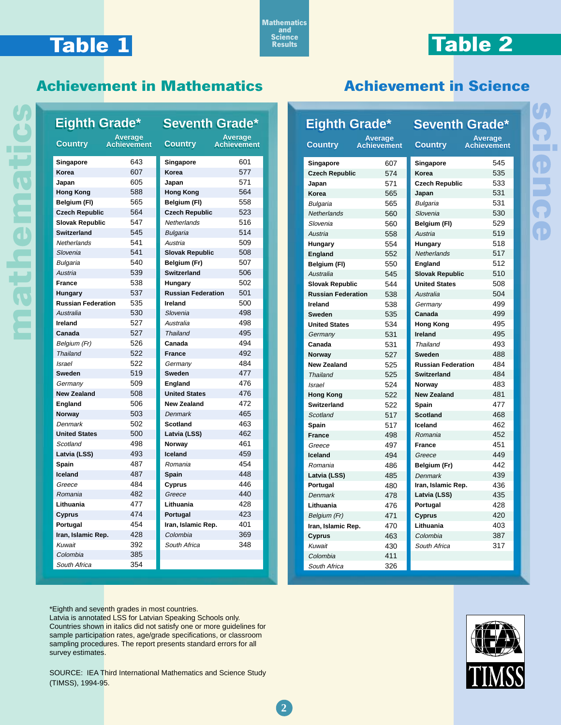# **Table 1**

**mathematics**

nathemati

**Mathematics and Science Results**

**Access** 

# **Table 2**

#### **Achievement in Mathematics**

| <b>Eighth Grade*</b>      |                                      | <b>Seventh Grade*</b>     |                        |
|---------------------------|--------------------------------------|---------------------------|------------------------|
| Country                   | <b>Average</b><br><b>Achievement</b> | <b>Country</b>            | Average<br>Achievement |
| Singapore                 | 643                                  | Singapore                 | 601                    |
| Korea                     | 607                                  | Korea                     | 577                    |
| Japan                     | 605                                  | Japan                     | 571                    |
| <b>Hong Kong</b>          | 588                                  | <b>Hong Kong</b>          | 564                    |
| Belgium (FI)              | 565                                  | Belgium (FI)              | 558                    |
| <b>Czech Republic</b>     | 564                                  | <b>Czech Republic</b>     | 523                    |
| <b>Slovak Republic</b>    | 547                                  | Netherlands               | 516                    |
| <b>Switzerland</b>        | 545                                  | <b>Bulgaria</b>           | 514                    |
| Netherlands               | 541                                  | Austria                   | 509                    |
| Slovenia                  | 541                                  | <b>Slovak Republic</b>    | 508                    |
| <b>Bulgaria</b>           | 540                                  | Belgium (Fr)              | 507                    |
| Austria                   | 539                                  | <b>Switzerland</b>        | 506                    |
| <b>France</b>             | 538                                  | Hungary                   | 502                    |
| <b>Hungary</b>            | 537                                  | <b>Russian Federation</b> | 501                    |
| <b>Russian Federation</b> | 535                                  | Ireland                   | 500                    |
| Australia                 | 530                                  | Slovenia                  | 498                    |
| Ireland                   | 527                                  | Australia                 | 498                    |
| Canada                    | 527                                  | Thailand                  | 495                    |
| Belgium (Fr)              | 526                                  | Canada                    | 494                    |
| <b>Thailand</b>           | 522                                  | <b>France</b>             | 492                    |
| <b>Israel</b>             | 522                                  | Germany                   | 484                    |
| Sweden                    | 519                                  | Sweden                    | 477                    |
| Germany                   | 509                                  | England                   | 476                    |
| <b>New Zealand</b>        | 508                                  | <b>United States</b>      | 476                    |
| England                   | 506                                  | <b>New Zealand</b>        | 472                    |
| Norway                    | 503                                  | <b>Denmark</b>            | 465                    |
| Denmark                   | 502                                  | <b>Scotland</b>           | 463                    |
| <b>United States</b>      | 500                                  | Latvia (LSS)              | 462                    |
| Scotland                  | 498                                  | Norway                    | 461                    |
| Latvia (LSS)              | 493                                  | Iceland                   | 459                    |
| Spain                     | 487                                  | Romania                   | 454                    |
| Iceland                   | 487                                  | Spain                     | 448                    |
| Greece                    | 484                                  | Cyprus                    | 446                    |
| Romania                   | 482                                  | Greece                    | 440                    |
| Lithuania                 | 477                                  | Lithuania                 | 428                    |
| Cyprus                    | 474                                  | Portugal                  | 423                    |
| Portugal                  | 454                                  | Iran, Islamic Rep.        | 401                    |
| Iran, Islamic Rep.        | 428                                  | Colombia                  | 369                    |
| Kuwait                    | 392                                  | South Africa              | 348                    |
| Colombia                  | 385                                  |                           |                        |
| South Africa              | 354                                  |                           |                        |

### **Achievement in Science**

| Eighth Grade*             |                                      | <b>Seventh Grade*</b>     |                               |
|---------------------------|--------------------------------------|---------------------------|-------------------------------|
| <b>Country</b>            | <b>Average</b><br><b>Achievement</b> | <b>Country</b>            | <b>Average</b><br>Achievement |
| Singapore                 | 607                                  | Singapore                 | 545                           |
| <b>Czech Republic</b>     | 574                                  | Korea                     | 535                           |
| Japan                     | 571                                  | <b>Czech Republic</b>     | 533                           |
| Korea                     | 565                                  | Japan                     | 531                           |
| Bulgaria                  | 565                                  | <b>Bulgaria</b>           | 531                           |
| Netherlands               | 560                                  | Slovenia                  | 530                           |
| Slovenia                  | 560                                  | Belgium (FI)              | 529                           |
| Austria                   | 558                                  | Austria                   | 519                           |
| Hungary                   | 554                                  | Hungary                   | 518                           |
| England                   | 552                                  | Netherlands               | 517                           |
| Belgium (FI)              | 550                                  | England                   | 512                           |
| Australia                 | 545                                  | <b>Slovak Republic</b>    | 510                           |
| <b>Slovak Republic</b>    | 544                                  | <b>United States</b>      | 508                           |
| <b>Russian Federation</b> | 538                                  | Australia                 | 504                           |
| Ireland                   | 538                                  | Germany                   | 499                           |
| <b>Sweden</b>             | 535                                  | Canada                    | 499                           |
| <b>United States</b>      | 534                                  | <b>Hong Kong</b>          | 495                           |
| Germany                   | 531                                  | Ireland                   | 495                           |
| Canada                    | 531                                  | Thailand                  | 493                           |
| Norway                    | 527                                  | Sweden                    | 488                           |
| <b>New Zealand</b>        | 525                                  | <b>Russian Federation</b> | 484                           |
| Thailand                  | 525                                  | <b>Switzerland</b>        | 484                           |
| <b>Israel</b>             | 524                                  | Norway                    | 483                           |
| <b>Hong Kong</b>          | 522                                  | <b>New Zealand</b>        | 481                           |
| <b>Switzerland</b>        | 522                                  | Spain                     | 477                           |
| Scotland                  | 517                                  | <b>Scotland</b>           | 468                           |
| Spain                     | 517                                  | Iceland                   | 462                           |
| <b>France</b>             | 498                                  | Romania                   | 452                           |
| Greece                    | 497                                  | <b>France</b>             | 451                           |
| Iceland                   | 494                                  | Greece                    | 449                           |
| Romania                   | 486                                  | Belgium (Fr)              | 442                           |
| Latvia (LSS)              | 485                                  | Denmark                   | 439                           |
| Portugal                  | 480                                  | Iran, Islamic Rep.        | 436                           |
| Denmark                   | 478                                  | Latvia (LSS)              | 435                           |
| Lithuania                 | 476                                  | Portugal                  | 428                           |
| Belgium (Fr)              | 471                                  | Cyprus                    | 420                           |
| Iran, Islamic Rep.        | 470                                  | Lithuania                 | 403                           |
| Cyprus                    | 463                                  | Colombia                  | 387                           |
| Kuwait                    | 430                                  | South Africa              | 317                           |
| Colombia                  | 411                                  |                           |                               |
| South Africa              | 326                                  |                           |                               |

\*Eighth and seventh grades in most countries. Latvia is annotated LSS for Latvian Speaking Schools only.

Countries shown in italics did not satisfy one or more guidelines for sample participation rates, age/grade specifications, or classroom sampling procedures. The report presents standard errors for all survey estimates.

SOURCE: IEA Third International Mathematics and Science Study (TIMSS), 1994-95.

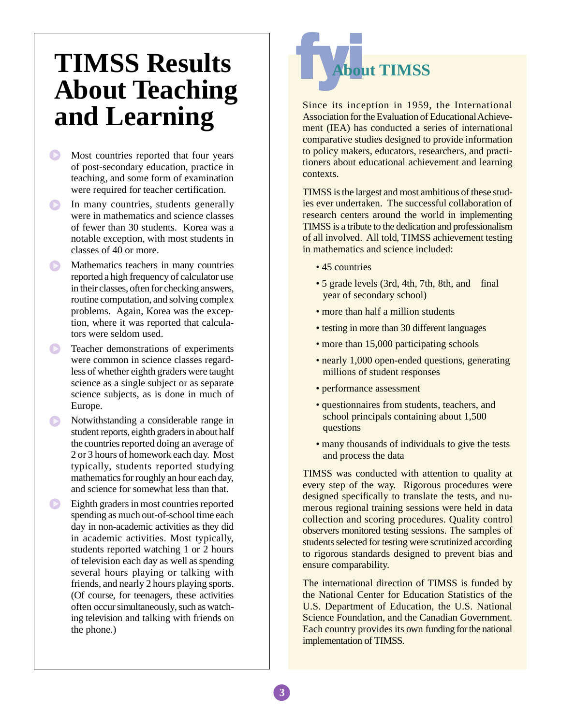# **TIMSS Results About Teaching and Learning**

- Most countries reported that four years of post-secondary education, practice in teaching, and some form of examination were required for teacher certification.
- In many countries, students generally were in mathematics and science classes of fewer than 30 students. Korea was a notable exception, with most students in classes of 40 or more.
- Mathematics teachers in many countries reported a high frequency of calculator use in their classes, often for checking answers, routine computation, and solving complex problems. Again, Korea was the exception, where it was reported that calculators were seldom used.
- $\bigodot$ Teacher demonstrations of experiments were common in science classes regardless of whether eighth graders were taught science as a single subject or as separate science subjects, as is done in much of Europe.
- Notwithstanding a considerable range in student reports, eighth graders in about half the countries reported doing an average of 2 or 3 hours of homework each day. Most typically, students reported studying mathematics for roughly an hour each day, and science for somewhat less than that.
- $\bullet$ Eighth graders in most countries reported spending as much out-of-school time each day in non-academic activities as they did in academic activities. Most typically, students reported watching 1 or 2 hours of television each day as well as spending several hours playing or talking with friends, and nearly 2 hours playing sports. (Of course, for teenagers, these activities often occur simultaneously, such as watching television and talking with friends on the phone.)



Since its inception in 1959, the International Association for the Evaluation of Educational Achievement (IEA) has conducted a series of international comparative studies designed to provide information to policy makers, educators, researchers, and practitioners about educational achievement and learning contexts.

TIMSS is the largest and most ambitious of these studies ever undertaken. The successful collaboration of research centers around the world in implementing TIMSS is a tribute to the dedication and professionalism of all involved. All told, TIMSS achievement testing in mathematics and science included:

- 45 countries
- 5 grade levels (3rd, 4th, 7th, 8th, and final year of secondary school)
- more than half a million students
- testing in more than 30 different languages
- more than 15,000 participating schools
- nearly 1,000 open-ended questions, generating millions of student responses
- performance assessment
- questionnaires from students, teachers, and school principals containing about 1,500 questions
- many thousands of individuals to give the tests and process the data

TIMSS was conducted with attention to quality at every step of the way. Rigorous procedures were designed specifically to translate the tests, and numerous regional training sessions were held in data collection and scoring procedures. Quality control observers monitored testing sessions. The samples of students selected for testing were scrutinized according to rigorous standards designed to prevent bias and ensure comparability.

The international direction of TIMSS is funded by the National Center for Education Statistics of the U.S. Department of Education, the U.S. National Science Foundation, and the Canadian Government. Each country provides its own funding for the national implementation of TIMSS.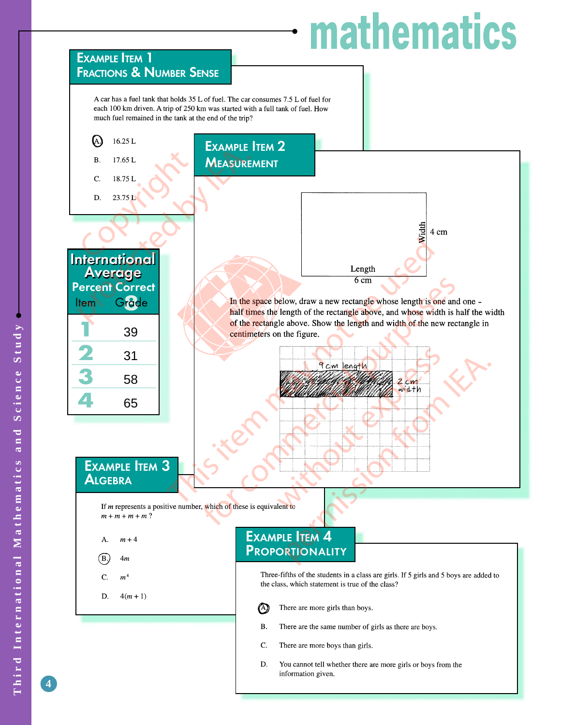# **mathematics**



**4**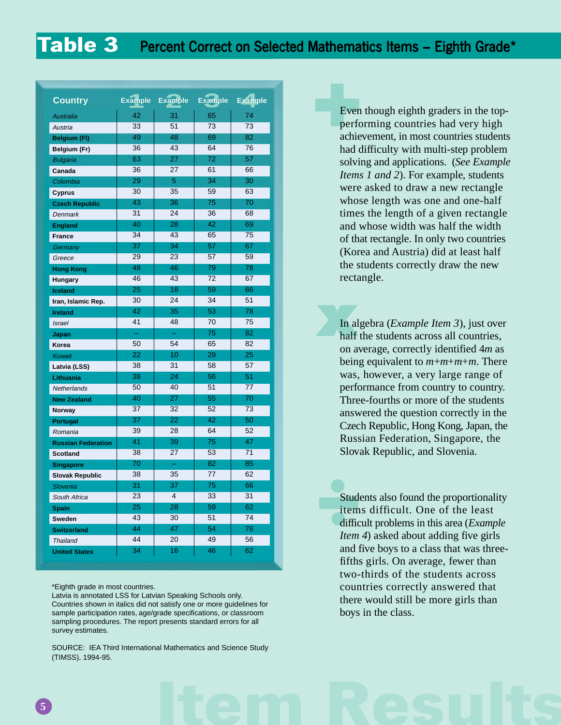| <b>Country</b>            | <b>Example</b>  | <b>Example</b>          | <b>Example</b> | <b>Example</b> |
|---------------------------|-----------------|-------------------------|----------------|----------------|
| <b>Australia</b>          | 42              | 31                      | 65             | 74             |
| Austria                   | 33              | 51                      | 73             | 73             |
| <b>Belgium (FI)</b>       | 49              | 48                      | 69             | 82             |
| Belgium (Fr)              | 36              | 43                      | 64             | 76             |
| <b>Bulgaria</b>           | 63              | 27                      | 72             | 57             |
| Canada                    | 36              | 27                      | 61             | 66             |
| Colombia                  | 29              | 5                       | 34             | 30             |
| <b>Cyprus</b>             | $\overline{30}$ | $\overline{35}$         | 59             | 63             |
| <b>Czech Republic</b>     | 43              | 36                      | 75             | 70             |
| <b>Denmark</b>            | 31              | 24                      | 36             | 68             |
| <b>England</b>            | 40              | 28                      | 42             | 69             |
| <b>France</b>             | $\overline{34}$ | 43                      | 65             | 75             |
| Germany                   | 37              | 34                      | 57             | 67             |
| Greece                    | 29              | 23                      | 57             | 59             |
| <b>Hong Kong</b>          | 48              | 46                      | 79             | 78             |
| Hungary                   | 46              | 43                      | 72             | 67             |
| <b>Iceland</b>            | 25              | 18                      | 59             | 66             |
| Iran, Islamic Rep.        | 30              | 24                      | 34             | 51             |
| <b>Ireland</b>            | 42              | 35                      | 53             | 78             |
| <b>Israel</b>             | 41              | 48                      | 70             | 75             |
| Japan                     |                 |                         | 75             | 82             |
| Korea                     | 50              | 54                      | 65             | 82             |
| Kuwait                    | 22              | 10                      | 29             | 25             |
| Latvia (LSS)              | 38              | 31                      | 58             | 57             |
| Lithuania                 | 38              | 24                      | 56             | 51             |
| Netherlands               | 50              | 40                      | 51             | 77             |
| <b>New Zealand</b>        | 40              | 27                      | 55             | 70             |
| Norway                    | 37              | 32                      | 52             | 73             |
| Portugal                  | 37              | 22                      | 42             | 50             |
| Romania                   | 39              | 28                      | 64             | 52             |
| <b>Russian Federation</b> | 41              | 39                      | 75             | 47             |
| <b>Scotland</b>           | 38              | 27                      | 53             | 71             |
| <b>Singapore</b>          | 70              |                         | 82             | 85             |
| <b>Slovak Republic</b>    | 38              | 35                      | 77             | 62             |
| Slovenia                  | 31              | 37                      | 75             | 66             |
| South Africa              | 23              | $\overline{\mathbf{4}}$ | 33             | 31             |
| <b>Spain</b>              | 25              | 28                      | 59             | 62             |
| <b>Sweden</b>             | 43              | 30                      | 51             | 74             |
| <b>Switzerland</b>        | 44              | 47                      | 54             | 76             |
| <b>Thailand</b>           | 44              | 20                      | 49             | 56             |
| <b>United States</b>      | 34              | 16                      | 46             | 62             |

#### \*Eighth grade in most countries.

Latvia is annotated LSS for Latvian Speaking Schools only. Countries shown in italics did not satisfy one or more guidelines for sample participation rates, age/grade specifications, or classroom sampling procedures. The report presents standard errors for all survey estimates.

SOURCE: IEA Third International Mathematics and Science Study (TIMSS), 1994-95.

**Even though eighth graders in the top-<br>performing countries had very high<br>achievement, in most countries students<br>had difficulty with multi-step problem** performing countries had very high achievement, in most countries students had difficulty with multi-step problem solving and applications. (*See Example Items 1 and 2*). For example, students were asked to draw a new rectangle whose length was one and one-half times the length of a given rectangle and whose width was half the width of that rectangle. In only two countries (Korea and Austria) did at least half the students correctly draw the new rectangle.

**x**<br>**x**<br>**h**<br>**x**<br>**h**<br>**c**<br>**o**<br>**n**<br>**a** In algebra (*Example Item 3*), just over half the students across all countries, on average, correctly identified 4*m* as being equivalent to *m*+*m*+*m*+*m*. There was, however, a very large range of performance from country to country. Three-fourths or more of the students answered the question correctly in the Czech Republic, Hong Kong, Japan, the Russian Federation, Singapore, the Slovak Republic, and Slovenia.

> Students also found the proportionality items difficult. One of the least difficult problems in this area (*Example Item 4*) asked about adding five girls and five boys to a class that was threefifths girls. On average, fewer than two-thirds of the students across countries correctly answered that there would still be more girls than boys in the class.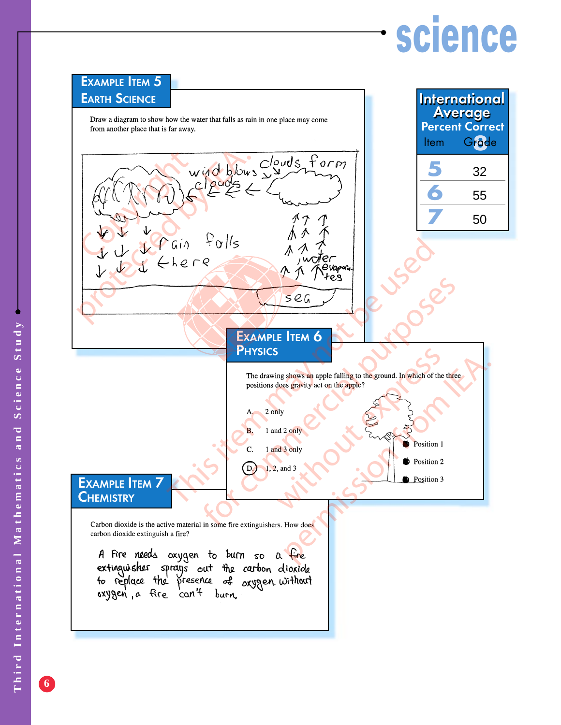# **science**



**6**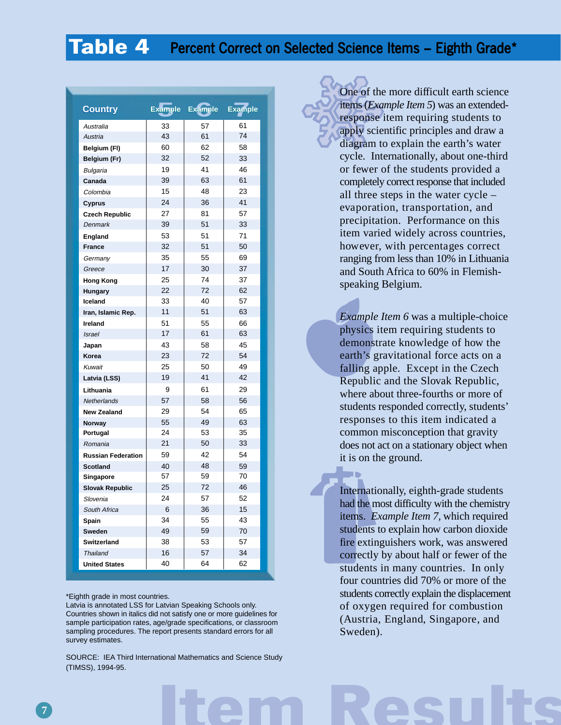## **Table 4** Percent Correct on Selected Science Items – Eighth Grade\*

| <b>Country</b>            | Example | <b>Example</b> | <b>Example</b> |
|---------------------------|---------|----------------|----------------|
| Australia                 | 33      | 57             | 61             |
| Austria                   | 43      | 61             | 74             |
| Belgium (FI)              | 60      | 62             | 58             |
| Belgium (Fr)              | 32      | 52             | 33             |
| Bulgaria                  | 19      | 41             | 46             |
| Canada                    | 39      | 63             | 61             |
| Colombia                  | 15      | 48             | 23             |
| <b>Cyprus</b>             | 24      | 36             | 41             |
| <b>Czech Republic</b>     | 27      | 81             | 57             |
| Denmark                   | 39      | 51             | 33             |
| England                   | 53      | 51             | 71             |
| <b>France</b>             | 32      | 51             | 50             |
| Germany                   | 35      | 55             | 69             |
| Greece                    | 17      | 30             | 37             |
| <b>Hong Kong</b>          | 25      | 74             | 37             |
| Hungary                   | 22      | 72             | 62             |
| Iceland                   | 33      | 40             | 57             |
| Iran, Islamic Rep.        | 11      | 51             | 63             |
| Ireland                   | 51      | 55             | 66             |
| <b>Israel</b>             | 17      | 61             | 63             |
| Japan                     | 43      | 58             | 45             |
| Korea                     | 23      | 72             | 54             |
| Kuwait                    | 25      | 50             | 49             |
| Latvia (LSS)              | 19      | 41             | 42             |
| Lithuania                 | 9       | 61             | 29             |
| <b>Netherlands</b>        | 57      | 58             | 56             |
| <b>New Zealand</b>        | 29      | 54             | 65             |
| Norway                    | 55      | 49             | 63             |
| Portugal                  | 24      | 53             | 35             |
| Romania                   | 21      | 50             | 33             |
| <b>Russian Federation</b> | 59      | 42             | 54             |
| <b>Scotland</b>           | 40      | 48             | 59             |
| Singapore                 | 57      | 59             | 70             |
| <b>Slovak Republic</b>    | 25      | 72             | 46             |
| Slovenia                  | 24      | 57             | 52             |
| South Africa              | 6       | 36             | 15             |
| Spain                     | 34      | 55             | 43             |
| Sweden                    | 49      | 59             | 70             |
| Switzerland               | 38      | 53             | 57             |
| Thailand                  | 16      | 57             | 34             |
| <b>United States</b>      | 40      | 64             | 62             |

#### \*Eighth grade in most countries.

Latvia is annotated LSS for Latvian Speaking Schools only. Countries shown in italics did not satisfy one or more guidelines for sample participation rates, age/grade specifications, or classroom sampling procedures. The report presents standard errors for all survey estimates.

**Item Results** SOURCE: IEA Third International Mathematics and Science Study (TIMSS), 1994-95.

One of the more difficult earth science items (*Example Item 5*) was an extendedresponse item requiring students to apply scientific principles and draw a diagram to explain the earth's water cycle. Internationally, about one-third or fewer of the students provided a completely correct response that included all three steps in the water cycle – evaporation, transportation, and precipitation. Performance on this item varied widely across countries, however, with percentages correct ranging from less than 10% in Lithuania and South Africa to 60% in Flemishspeaking Belgium.

*Example Item 6* was a multiple-choice physics item requiring students to demonstrate knowledge of how the earth's gravitational force acts on a falling apple. Except in the Czech Republic and the Slovak Republic, where about three-fourths or more of students responded correctly, students' responses to this item indicated a common misconception that gravity does not act on a stationary object when it is on the ground.

Internationally, eighth-grade students had the most difficulty with the chemistry items. *Example Item 7,* which required students to explain how carbon dioxide fire extinguishers work, was answered correctly by about half or fewer of the students in many countries. In only four countries did 70% or more of the students correctly explain the displacement of oxygen required for combustion (Austria, England, Singapore, and Sweden).